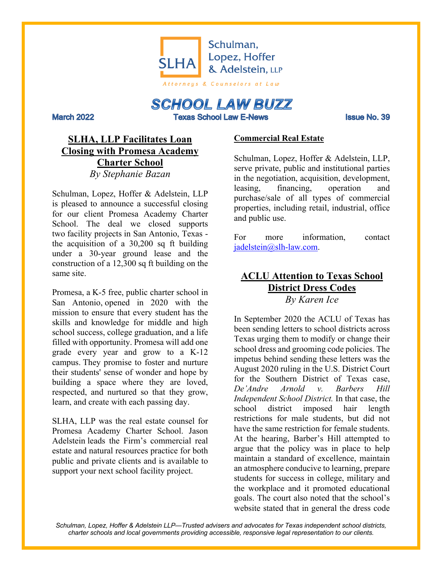

# **SCHOOL LAW BUZZ Texas School Law E-News**

**March 2022** 

Issue No. 39

## **SLHA, LLP Facilitates Loan Closing with Promesa Academy Charter School** *By Stephanie Bazan*

Schulman, Lopez, Hoffer & Adelstein, LLP is pleased to announce a successful closing for our client Promesa Academy Charter School. The deal we closed supports two facility projects in San Antonio, Texas the acquisition of a 30,200 sq ft building under a 30-year ground lease and the construction of a 12,300 sq ft building on the same site.

Promesa, a K-5 free, public charter school in San Antonio, opened in 2020 with the mission to ensure that every student has the skills and knowledge for middle and high school success, college graduation, and a life filled with opportunity. Promesa will add one grade every year and grow to a K-12 campus. They promise to foster and nurture their students' sense of wonder and hope by building a space where they are loved, respected, and nurtured so that they grow, learn, and create with each passing day.

SLHA, LLP was the real estate counsel for Promesa Academy Charter School. Jason Adelstein leads the Firm's commercial real estate and natural resources practice for both public and private clients and is available to support your next school facility project.

### **Commercial Real Estate**

Schulman, Lopez, Hoffer & Adelstein, LLP, serve private, public and institutional parties in the negotiation, acquisition, development, leasing, financing, operation and purchase/sale of all types of commercial properties, including retail, industrial, office and public use.

For more information, contact jadelstein@slh-law.com.

# **ACLU Attention to Texas School District Dress Codes** *By Karen Ice*

In September 2020 the ACLU of Texas has been sending letters to school districts across Texas urging them to modify or change their school dress and grooming code policies. The impetus behind sending these letters was the August 2020 ruling in the U.S. District Court for the Southern District of Texas case, *De'Andre Arnold v. Barbers Hill Independent School District.* In that case, the school district imposed hair length restrictions for male students, but did not have the same restriction for female students. At the hearing, Barber's Hill attempted to argue that the policy was in place to help maintain a standard of excellence, maintain an atmosphere conducive to learning, prepare students for success in college, military and the workplace and it promoted educational goals. The court also noted that the school's website stated that in general the dress code

*Schulman, Lopez, Hoffer & Adelstein LLP—Trusted advisers and advocates for Texas independent school districts, charter schools and local governments providing accessible, responsive legal representation to our clients.*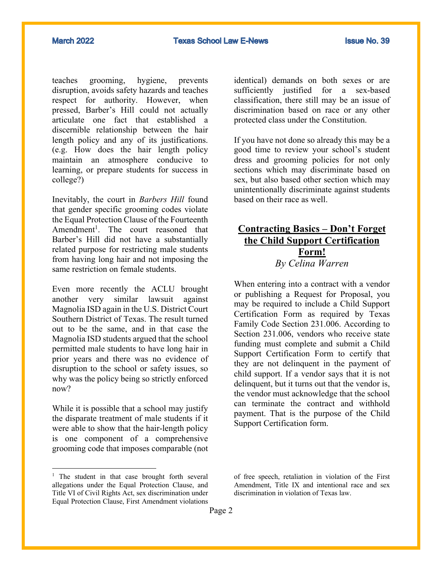teaches grooming, hygiene, prevents disruption, avoids safety hazards and teaches respect for authority. However, when pressed, Barber's Hill could not actually articulate one fact that established a discernible relationship between the hair length policy and any of its justifications. (e.g. How does the hair length policy maintain an atmosphere conducive to learning, or prepare students for success in college?)

Inevitably, the court in *Barbers Hill* found that gender specific grooming codes violate the Equal Protection Clause of the Fourteenth Amendment<sup>1</sup>. The court reasoned that Barber's Hill did not have a substantially related purpose for restricting male students from having long hair and not imposing the same restriction on female students.

Even more recently the ACLU brought another very similar lawsuit against Magnolia ISD again in the U.S. District Court Southern District of Texas. The result turned out to be the same, and in that case the Magnolia ISD students argued that the school permitted male students to have long hair in prior years and there was no evidence of disruption to the school or safety issues, so why was the policy being so strictly enforced now?

While it is possible that a school may justify the disparate treatment of male students if it were able to show that the hair-length policy is one component of a comprehensive grooming code that imposes comparable (not

identical) demands on both sexes or are sufficiently justified for a sex-based classification, there still may be an issue of discrimination based on race or any other protected class under the Constitution.

If you have not done so already this may be a good time to review your school's student dress and grooming policies for not only sections which may discriminate based on sex, but also based other section which may unintentionally discriminate against students based on their race as well.

### **Contracting Basics – Don't Forget the Child Support Certification Form!** *By Celina Warren*

When entering into a contract with a vendor or publishing a Request for Proposal, you may be required to include a Child Support Certification Form as required by Texas Family Code Section 231.006. According to Section 231.006, vendors who receive state funding must complete and submit a Child Support Certification Form to certify that they are not delinquent in the payment of child support. If a vendor says that it is not delinquent, but it turns out that the vendor is, the vendor must acknowledge that the school can terminate the contract and withhold payment. That is the purpose of the Child Support Certification form.

<sup>&</sup>lt;sup>1</sup> The student in that case brought forth several allegations under the Equal Protection Clause, and Title VI of Civil Rights Act, sex discrimination under Equal Protection Clause, First Amendment violations

of free speech, retaliation in violation of the First Amendment, Title IX and intentional race and sex discrimination in violation of Texas law.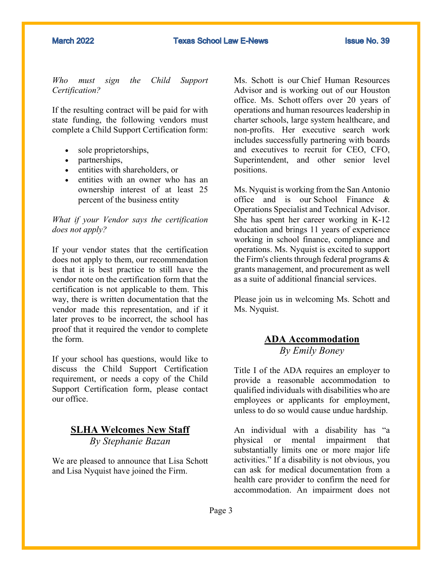#### **March 2022**

*Who must sign the Child Support Certification?*

If the resulting contract will be paid for with state funding, the following vendors must complete a Child Support Certification form:

- sole proprietorships,
- partnerships.
- entities with shareholders, or
- entities with an owner who has an ownership interest of at least 25 percent of the business entity

#### *What if your Vendor says the certification does not apply?*

If your vendor states that the certification does not apply to them, our recommendation is that it is best practice to still have the vendor note on the certification form that the certification is not applicable to them. This way, there is written documentation that the vendor made this representation, and if it later proves to be incorrect, the school has proof that it required the vendor to complete the form.

If your school has questions, would like to discuss the Child Support Certification requirement, or needs a copy of the Child Support Certification form, please contact our office.

### **SLHA Welcomes New Staff** *By Stephanie Bazan*

We are pleased to announce that Lisa Schott and Lisa Nyquist have joined the Firm.

Ms. Schott is our Chief Human Resources Advisor and is working out of our Houston office. Ms. Schott offers over 20 years of operations and human resources leadership in charter schools, large system healthcare, and non-profits. Her executive search work includes successfully partnering with boards and executives to recruit for CEO, CFO, Superintendent, and other senior level positions.

Ms. Nyquist is working from the San Antonio office and is our School Finance & Operations Specialist and Technical Advisor. She has spent her career working in K-12 education and brings 11 years of experience working in school finance, compliance and operations. Ms. Nyquist is excited to support the Firm's clients through federal programs & grants management, and procurement as well as a suite of additional financial services.

Please join us in welcoming Ms. Schott and Ms. Nyquist.

### **ADA Accommodation** *By Emily Boney*

Title I of the ADA requires an employer to provide a reasonable accommodation to qualified individuals with disabilities who are employees or applicants for employment, unless to do so would cause undue hardship.

An individual with a disability has "a physical or mental impairment that substantially limits one or more major life activities." If a disability is not obvious, you can ask for medical documentation from a health care provider to confirm the need for accommodation. An impairment does not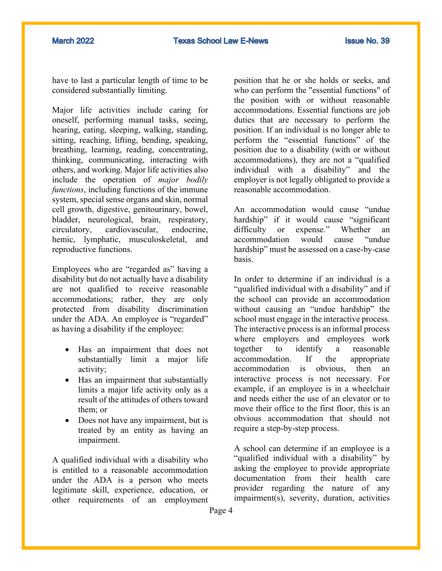have to last a particular length of time to be considered substantially limiting.

Major life activities include caring for oneself, performing manual tasks, seeing, hearing, eating, sleeping, walking, standing, sitting, reaching, lifting, bending, speaking, breathing, learning, reading, concentrating, thinking, communicating, interacting with others, and working. Major life activities also include the operation of *major bodily functions*, including functions of the immune system, special sense organs and skin, normal cell growth, digestive, genitourinary, bowel, bladder, neurological, brain, respiratory, circulatory, cardiovascular, endocrine, hemic, lymphatic, musculoskeletal, and reproductive functions.

Employees who are "regarded as" having a disability but do not actually have a disability are not qualified to receive reasonable accommodations; rather, they are only protected from disability discrimination under the ADA. An employee is "regarded" as having a disability if the employee:

- Has an impairment that does not substantially limit a major life activity;
- Has an impairment that substantially limits a major life activity only as a result of the attitudes of others toward them; or
- Does not have any impairment, but is treated by an entity as having an impairment.

A qualified individual with a disability who is entitled to a reasonable accommodation under the ADA is a person who meets legitimate skill, experience, education, or other requirements of an employment

position that he or she holds or seeks, and who can perform the "essential functions" of the position with or without reasonable accommodations. Essential functions are job duties that are necessary to perform the position. If an individual is no longer able to perform the "essential functions" of the position due to a disability (with or without accommodations), they are not a "qualified individual with a disability" and the employer is not legally obligated to provide a reasonable accommodation.

An accommodation would cause "undue hardship" if it would cause "significant difficulty or expense." Whether an accommodation would cause "undue hardship" must be assessed on a case-by-case basis.

In order to determine if an individual is a "qualified individual with a disability" and if the school can provide an accommodation without causing an "undue hardship" the school must engage in the interactive process. The interactive process is an informal process where employers and employees work together to identify a reasonable accommodation. If the appropriate accommodation is obvious, then an interactive process is not necessary. For example, if an employee is in a wheelchair and needs either the use of an elevator or to move their office to the first floor, this is an obvious accommodation that should not require a step-by-step process.

A school can determine if an employee is a "qualified individual with a disability" by asking the employee to provide appropriate documentation from their health care provider regarding the nature of any impairment(s), severity, duration, activities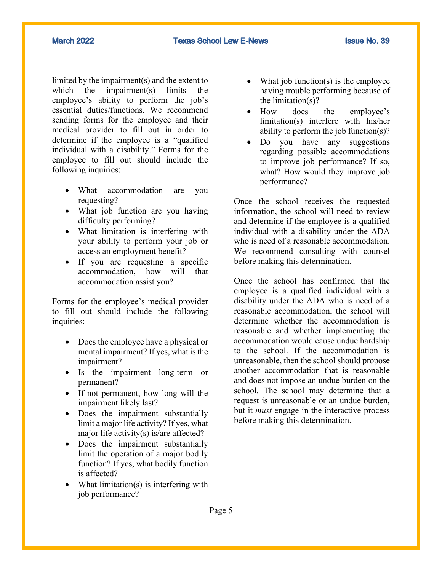**March 2022** 

limited by the impairment(s) and the extent to which the impairment(s) limits the employee's ability to perform the job's essential duties/functions. We recommend sending forms for the employee and their medical provider to fill out in order to determine if the employee is a "qualified individual with a disability." Forms for the employee to fill out should include the following inquiries:

- What accommodation are you requesting?
- What job function are you having difficulty performing?
- What limitation is interfering with your ability to perform your job or access an employment benefit?
- If you are requesting a specific accommodation, how will that accommodation assist you?

Forms for the employee's medical provider to fill out should include the following inquiries:

- Does the employee have a physical or mental impairment? If yes, what is the impairment?
- Is the impairment long-term or permanent?
- If not permanent, how long will the impairment likely last?
- Does the impairment substantially limit a major life activity? If yes, what major life activity(s) is/are affected?
- Does the impairment substantially limit the operation of a major bodily function? If yes, what bodily function is affected?
- What limitation(s) is interfering with job performance?
- What job function(s) is the employee having trouble performing because of the limitation(s)?
- How does the employee's limitation(s) interfere with his/her ability to perform the job function(s)?
- Do you have any suggestions regarding possible accommodations to improve job performance? If so, what? How would they improve job performance?

Once the school receives the requested information, the school will need to review and determine if the employee is a qualified individual with a disability under the ADA who is need of a reasonable accommodation. We recommend consulting with counsel before making this determination.

Once the school has confirmed that the employee is a qualified individual with a disability under the ADA who is need of a reasonable accommodation, the school will determine whether the accommodation is reasonable and whether implementing the accommodation would cause undue hardship to the school. If the accommodation is unreasonable, then the school should propose another accommodation that is reasonable and does not impose an undue burden on the school. The school may determine that a request is unreasonable or an undue burden, but it *must* engage in the interactive process before making this determination.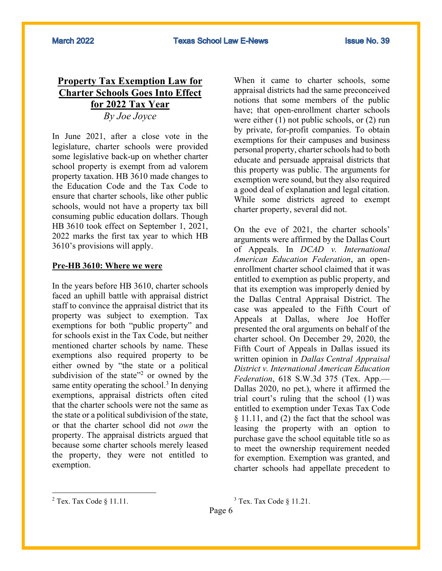## **Property Tax Exemption Law for Charter Schools Goes Into Effect for 2022 Tax Year** *By Joe Joyce*

In June 2021, after a close vote in the legislature, charter schools were provided some legislative back-up on whether charter school property is exempt from ad valorem property taxation. HB 3610 made changes to the Education Code and the Tax Code to ensure that charter schools, like other public schools, would not have a property tax bill consuming public education dollars. Though HB 3610 took effect on September 1, 2021, 2022 marks the first tax year to which HB 3610's provisions will apply.

#### **Pre-HB 3610: Where we were**

In the years before HB 3610, charter schools faced an uphill battle with appraisal district staff to convince the appraisal district that its property was subject to exemption. Tax exemptions for both "public property" and for schools exist in the Tax Code, but neither mentioned charter schools by name. These exemptions also required property to be either owned by "the state or a political subdivision of the state"<sup>2</sup> or owned by the same entity operating the school. $3$  In denying exemptions, appraisal districts often cited that the charter schools were not the same as the state or a political subdivision of the state, or that the charter school did not *own* the property. The appraisal districts argued that because some charter schools merely leased the property, they were not entitled to exemption.

When it came to charter schools, some appraisal districts had the same preconceived notions that some members of the public have; that open-enrollment charter schools were either (1) not public schools, or (2) run by private, for-profit companies. To obtain exemptions for their campuses and business personal property, charter schools had to both educate and persuade appraisal districts that this property was public. The arguments for exemption were sound, but they also required a good deal of explanation and legal citation. While some districts agreed to exempt charter property, several did not.

On the eve of 2021, the charter schools' arguments were affirmed by the Dallas Court of Appeals. In *DCAD v. International American Education Federation*, an openenrollment charter school claimed that it was entitled to exemption as public property, and that its exemption was improperly denied by the Dallas Central Appraisal District. The case was appealed to the Fifth Court of Appeals at Dallas, where Joe Hoffer presented the oral arguments on behalf of the charter school. On December 29, 2020, the Fifth Court of Appeals in Dallas issued its written opinion in *Dallas Central Appraisal District v. International American Education Federation*, 618 S.W.3d 375 (Tex. App.— Dallas 2020, no pet.), where it affirmed the trial court's ruling that the school (1) was entitled to exemption under Texas Tax Code § 11.11, and (2) the fact that the school was leasing the property with an option to purchase gave the school equitable title so as to meet the ownership requirement needed for exemption. Exemption was granted, and charter schools had appellate precedent to

 $3$  Tex. Tax Code  $\S$  11.21.

Page 6

 $2$  Tex. Tax Code  $§$  11.11.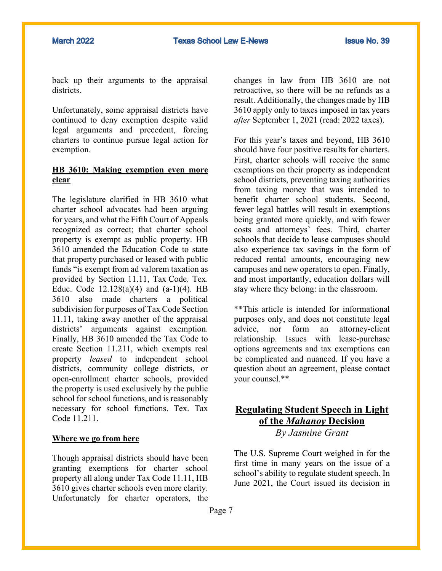back up their arguments to the appraisal districts.

Unfortunately, some appraisal districts have continued to deny exemption despite valid legal arguments and precedent, forcing charters to continue pursue legal action for exemption.

### **HB 3610: Making exemption even more clear**

The legislature clarified in HB 3610 what charter school advocates had been arguing for years, and what the Fifth Court of Appeals recognized as correct; that charter school property is exempt as public property. HB 3610 amended the Education Code to state that property purchased or leased with public funds "is exempt from ad valorem taxation as provided by Section 11.11, Tax Code. Tex. Educ. Code  $12.128(a)(4)$  and  $(a-1)(4)$ . HB 3610 also made charters a political subdivision for purposes of Tax Code Section 11.11, taking away another of the appraisal districts' arguments against exemption. Finally, HB 3610 amended the Tax Code to create Section 11.211, which exempts real property *leased* to independent school districts, community college districts, or open-enrollment charter schools, provided the property is used exclusively by the public school for school functions, and is reasonably necessary for school functions. Tex. Tax Code 11.211.

#### **Where we go from here**

Though appraisal districts should have been granting exemptions for charter school property all along under Tax Code 11.11, HB 3610 gives charter schools even more clarity. Unfortunately for charter operators, the

changes in law from HB 3610 are not retroactive, so there will be no refunds as a result. Additionally, the changes made by HB 3610 apply only to taxes imposed in tax years *after* September 1, 2021 (read: 2022 taxes).

For this year's taxes and beyond, HB 3610 should have four positive results for charters. First, charter schools will receive the same exemptions on their property as independent school districts, preventing taxing authorities from taxing money that was intended to benefit charter school students. Second, fewer legal battles will result in exemptions being granted more quickly, and with fewer costs and attorneys' fees. Third, charter schools that decide to lease campuses should also experience tax savings in the form of reduced rental amounts, encouraging new campuses and new operators to open. Finally, and most importantly, education dollars will stay where they belong: in the classroom.

\*\*This article is intended for informational purposes only, and does not constitute legal advice, nor form an attorney-client relationship. Issues with lease-purchase options agreements and tax exemptions can be complicated and nuanced. If you have a question about an agreement, please contact your counsel.\*\*

### **Regulating Student Speech in Light of the** *Mahanoy* **Decision** *By Jasmine Grant*

The U.S. Supreme Court weighed in for the first time in many years on the issue of a school's ability to regulate student speech. In June 2021, the Court issued its decision in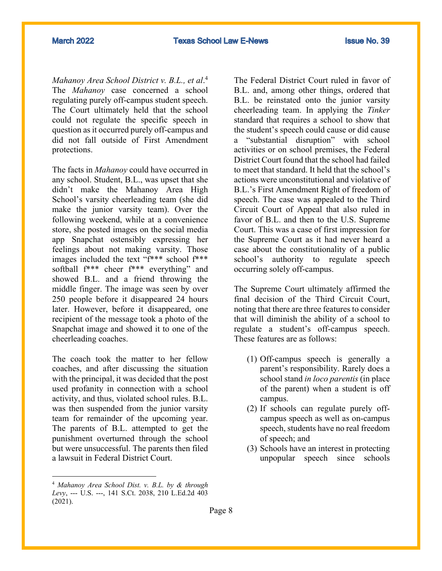*Mahanoy Area School District v. B.L., et al*. 4 The *Mahanoy* case concerned a school regulating purely off-campus student speech. The Court ultimately held that the school could not regulate the specific speech in question as it occurred purely off-campus and did not fall outside of First Amendment protections.

The facts in *Mahanoy* could have occurred in any school. Student, B.L., was upset that she didn't make the Mahanoy Area High School's varsity cheerleading team (she did make the junior varsity team). Over the following weekend, while at a convenience store, she posted images on the social media app Snapchat ostensibly expressing her feelings about not making varsity. Those images included the text "f\*\*\* school f\*\*\* softball f\*\*\* cheer f\*\*\* everything" and showed B.L. and a friend throwing the middle finger. The image was seen by over 250 people before it disappeared 24 hours later. However, before it disappeared, one recipient of the message took a photo of the Snapchat image and showed it to one of the cheerleading coaches.

The coach took the matter to her fellow coaches, and after discussing the situation with the principal, it was decided that the post used profanity in connection with a school activity, and thus, violated school rules. B.L. was then suspended from the junior varsity team for remainder of the upcoming year. The parents of B.L. attempted to get the punishment overturned through the school but were unsuccessful. The parents then filed a lawsuit in Federal District Court.

The Federal District Court ruled in favor of B.L. and, among other things, ordered that B.L. be reinstated onto the junior varsity cheerleading team. In applying the *Tinker* standard that requires a school to show that the student's speech could cause or did cause a "substantial disruption" with school activities or on school premises, the Federal District Court found that the school had failed to meet that standard. It held that the school's actions were unconstitutional and violative of B.L.'s First Amendment Right of freedom of speech. The case was appealed to the Third Circuit Court of Appeal that also ruled in favor of B.L. and then to the U.S. Supreme Court. This was a case of first impression for the Supreme Court as it had never heard a case about the constitutionality of a public school's authority to regulate speech occurring solely off-campus.

The Supreme Court ultimately affirmed the final decision of the Third Circuit Court, noting that there are three features to consider that will diminish the ability of a school to regulate a student's off-campus speech. These features are as follows:

- (1) Off-campus speech is generally a parent's responsibility. Rarely does a school stand *in loco parentis* (in place of the parent) when a student is off campus.
- (2) If schools can regulate purely offcampus speech as well as on-campus speech, students have no real freedom of speech; and
- (3) Schools have an interest in protecting unpopular speech since schools

<sup>4</sup> *Mahanoy Area School Dist. v. B.L. by & through Levy*, --- U.S. ---, 141 S.Ct. 2038, 210 L.Ed.2d 403 (2021).